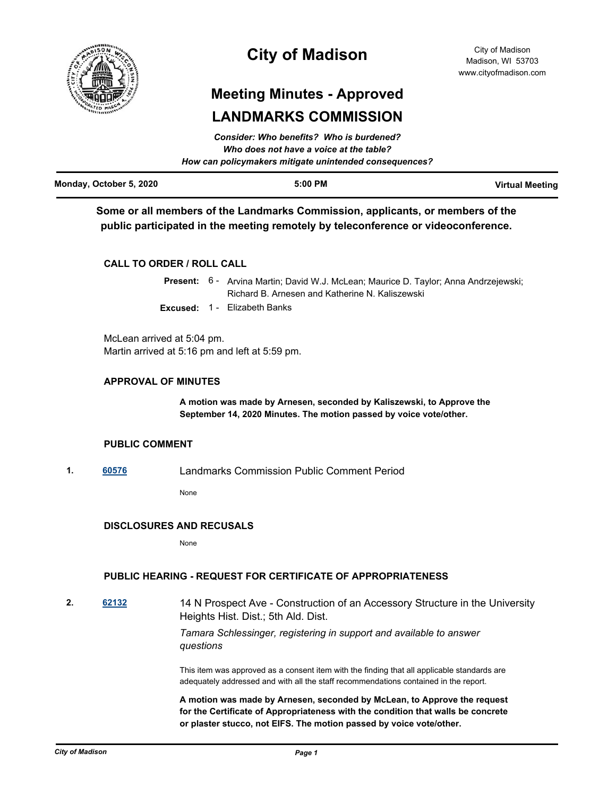

# **City of Madison**

# **Meeting Minutes - Approved LANDMARKS COMMISSION**

|                         | Consider: Who benefits? Who is burdened?<br>Who does not have a voice at the table? |                        |
|-------------------------|-------------------------------------------------------------------------------------|------------------------|
|                         | How can policymakers mitigate unintended consequences?                              |                        |
| Monday, October 5, 2020 | $5:00$ PM                                                                           | <b>Virtual Meeting</b> |

**Some or all members of the Landmarks Commission, applicants, or members of the public participated in the meeting remotely by teleconference or videoconference.**

# **CALL TO ORDER / ROLL CALL**

|  | Present: 6 - Arvina Martin; David W.J. McLean; Maurice D. Taylor; Anna Andrzejewski; |
|--|--------------------------------------------------------------------------------------|
|  | Richard B. Arnesen and Katherine N. Kaliszewski                                      |
|  | <b>Excused: 1 - Elizabeth Banks</b>                                                  |

McLean arrived at 5:04 pm. Martin arrived at 5:16 pm and left at 5:59 pm.

# **APPROVAL OF MINUTES**

**A motion was made by Arnesen, seconded by Kaliszewski, to Approve the September 14, 2020 Minutes. The motion passed by voice vote/other.**

## **PUBLIC COMMENT**

**1. [60576](http://madison.legistar.com/gateway.aspx?m=l&id=/matter.aspx?key=71419)** Landmarks Commission Public Comment Period

None

## **DISCLOSURES AND RECUSALS**

None

# **PUBLIC HEARING - REQUEST FOR CERTIFICATE OF APPROPRIATENESS**

**2. [62132](http://madison.legistar.com/gateway.aspx?m=l&id=/matter.aspx?key=72778)** 14 N Prospect Ave - Construction of an Accessory Structure in the University Heights Hist. Dist.; 5th Ald. Dist.

## *Tamara Schlessinger, registering in support and available to answer questions*

This item was approved as a consent item with the finding that all applicable standards are adequately addressed and with all the staff recommendations contained in the report.

**A motion was made by Arnesen, seconded by McLean, to Approve the request for the Certificate of Appropriateness with the condition that walls be concrete or plaster stucco, not EIFS. The motion passed by voice vote/other.**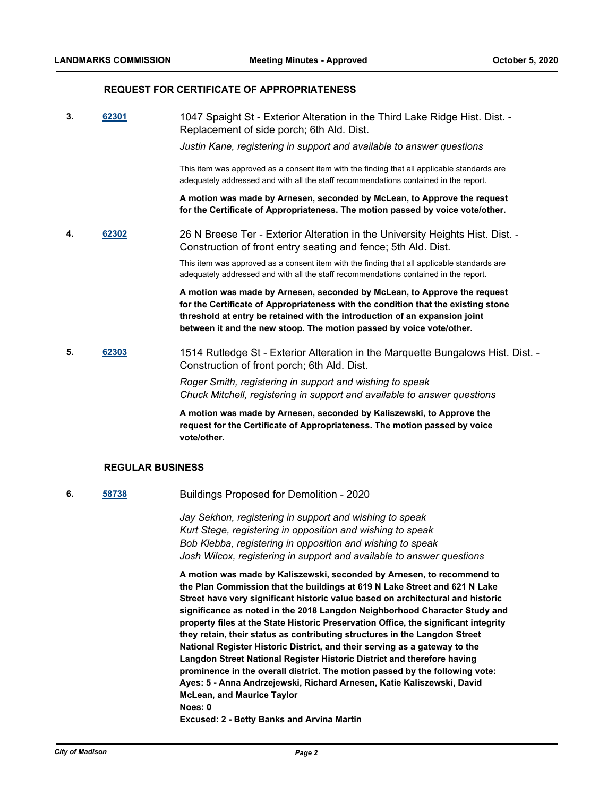#### **REQUEST FOR CERTIFICATE OF APPROPRIATENESS**

**3. [62301](http://madison.legistar.com/gateway.aspx?m=l&id=/matter.aspx?key=72927)** 1047 Spaight St - Exterior Alteration in the Third Lake Ridge Hist. Dist. - Replacement of side porch; 6th Ald. Dist.

*Justin Kane, registering in support and available to answer questions*

This item was approved as a consent item with the finding that all applicable standards are adequately addressed and with all the staff recommendations contained in the report.

**A motion was made by Arnesen, seconded by McLean, to Approve the request for the Certificate of Appropriateness. The motion passed by voice vote/other.**

**4. [62302](http://madison.legistar.com/gateway.aspx?m=l&id=/matter.aspx?key=72928)** 26 N Breese Ter - Exterior Alteration in the University Heights Hist. Dist. - Construction of front entry seating and fence; 5th Ald. Dist.

> This item was approved as a consent item with the finding that all applicable standards are adequately addressed and with all the staff recommendations contained in the report.

**A motion was made by Arnesen, seconded by McLean, to Approve the request for the Certificate of Appropriateness with the condition that the existing stone threshold at entry be retained with the introduction of an expansion joint between it and the new stoop. The motion passed by voice vote/other.**

**5. [62303](http://madison.legistar.com/gateway.aspx?m=l&id=/matter.aspx?key=72929)** 1514 Rutledge St - Exterior Alteration in the Marquette Bungalows Hist. Dist. - Construction of front porch; 6th Ald. Dist.

> *Roger Smith, registering in support and wishing to speak Chuck Mitchell, registering in support and available to answer questions*

> **A motion was made by Arnesen, seconded by Kaliszewski, to Approve the request for the Certificate of Appropriateness. The motion passed by voice vote/other.**

#### **REGULAR BUSINESS**

**6. [58738](http://madison.legistar.com/gateway.aspx?m=l&id=/matter.aspx?key=69854)** Buildings Proposed for Demolition - 2020

*Jay Sekhon, registering in support and wishing to speak Kurt Stege, registering in opposition and wishing to speak Bob Klebba, registering in opposition and wishing to speak Josh Wilcox, registering in support and available to answer questions*

**A motion was made by Kaliszewski, seconded by Arnesen, to recommend to the Plan Commission that the buildings at 619 N Lake Street and 621 N Lake Street have very significant historic value based on architectural and historic significance as noted in the 2018 Langdon Neighborhood Character Study and property files at the State Historic Preservation Office, the significant integrity they retain, their status as contributing structures in the Langdon Street National Register Historic District, and their serving as a gateway to the Langdon Street National Register Historic District and therefore having prominence in the overall district. The motion passed by the following vote: Ayes: 5 - Anna Andrzejewski, Richard Arnesen, Katie Kaliszewski, David McLean, and Maurice Taylor Noes: 0 Excused: 2 - Betty Banks and Arvina Martin**